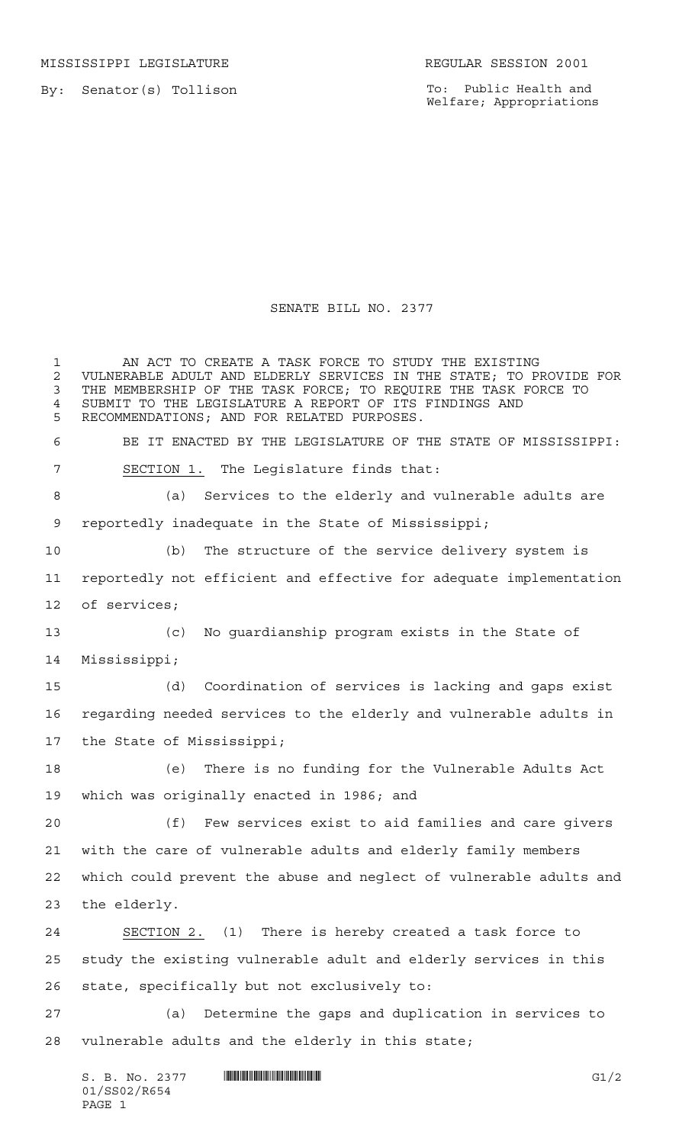MISSISSIPPI LEGISLATURE **REGULAR SESSION 2001** 

By: Senator(s) Tollison

To: Public Health and Welfare; Appropriations

## SENATE BILL NO. 2377

 AN ACT TO CREATE A TASK FORCE TO STUDY THE EXISTING 2 VULNERABLE ADULT AND ELDERLY SERVICES IN THE STATE; TO PROVIDE FOR<br>3 THE MEMBERSHIP OF THE TASK FORCE: TO REOUIRE THE TASK FORCE TO THE MEMBERSHIP OF THE TASK FORCE; TO REQUIRE THE TASK FORCE TO SUBMIT TO THE LEGISLATURE A REPORT OF ITS FINDINGS AND RECOMMENDATIONS; AND FOR RELATED PURPOSES. BE IT ENACTED BY THE LEGISLATURE OF THE STATE OF MISSISSIPPI: SECTION 1. The Legislature finds that: (a) Services to the elderly and vulnerable adults are reportedly inadequate in the State of Mississippi; (b) The structure of the service delivery system is reportedly not efficient and effective for adequate implementation of services; (c) No guardianship program exists in the State of Mississippi; (d) Coordination of services is lacking and gaps exist regarding needed services to the elderly and vulnerable adults in the State of Mississippi; (e) There is no funding for the Vulnerable Adults Act which was originally enacted in 1986; and (f) Few services exist to aid families and care givers with the care of vulnerable adults and elderly family members which could prevent the abuse and neglect of vulnerable adults and the elderly. SECTION 2. (1) There is hereby created a task force to study the existing vulnerable adult and elderly services in this state, specifically but not exclusively to: (a) Determine the gaps and duplication in services to vulnerable adults and the elderly in this state;

 $S. B. No. 2377$   $\blacksquare$   $\blacksquare$   $\blacksquare$   $\blacksquare$   $\blacksquare$   $\blacksquare$   $\blacksquare$   $\blacksquare$   $\blacksquare$   $\blacksquare$   $\blacksquare$   $\blacksquare$   $\blacksquare$   $\blacksquare$   $\blacksquare$   $\blacksquare$   $\blacksquare$   $\blacksquare$   $\blacksquare$   $\blacksquare$   $\blacksquare$   $\blacksquare$   $\blacksquare$   $\blacksquare$   $\blacksquare$   $\blacksquare$   $\blacksquare$   $\blacksquare$   $\blacksquare$   $\blacks$ 01/SS02/R654 PAGE 1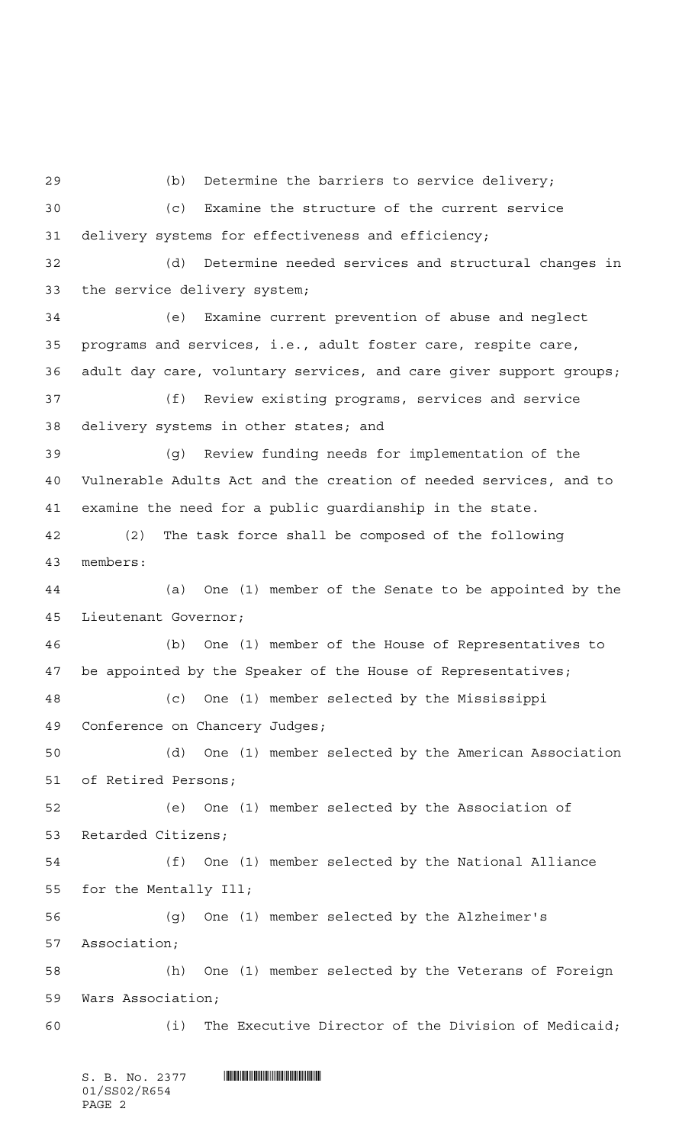(b) Determine the barriers to service delivery; (c) Examine the structure of the current service delivery systems for effectiveness and efficiency; (d) Determine needed services and structural changes in the service delivery system; (e) Examine current prevention of abuse and neglect programs and services, i.e., adult foster care, respite care, adult day care, voluntary services, and care giver support groups; (f) Review existing programs, services and service delivery systems in other states; and (g) Review funding needs for implementation of the Vulnerable Adults Act and the creation of needed services, and to examine the need for a public guardianship in the state. (2) The task force shall be composed of the following members: (a) One (1) member of the Senate to be appointed by the Lieutenant Governor; (b) One (1) member of the House of Representatives to be appointed by the Speaker of the House of Representatives; (c) One (1) member selected by the Mississippi Conference on Chancery Judges; (d) One (1) member selected by the American Association of Retired Persons; (e) One (1) member selected by the Association of Retarded Citizens; (f) One (1) member selected by the National Alliance for the Mentally Ill; (g) One (1) member selected by the Alzheimer's Association; (h) One (1) member selected by the Veterans of Foreign Wars Association; (i) The Executive Director of the Division of Medicaid;

S. B. No. 2377 **. SECONDER SECONDER AND LODGE SECONDER SERVICE** 01/SS02/R654 PAGE 2